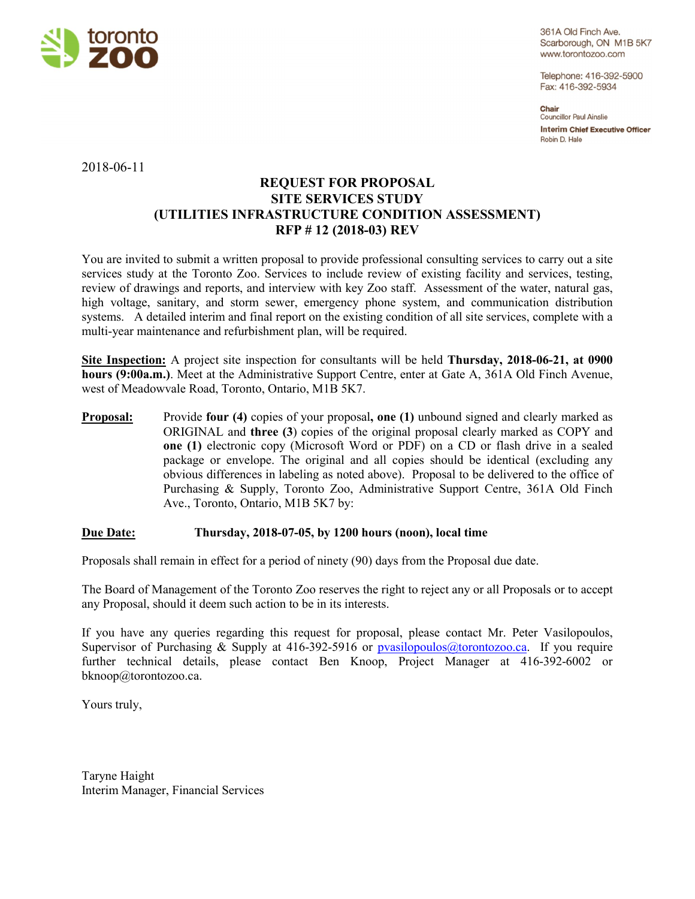

361A Old Finch Ave. Scarborough, ON M1B 5K7 www.torontozoo.com

Telephone: 416-392-5900 Fax: 416-392-5934

Chair Councillor Paul Ainslie **Interim Chief Executive Officer** Robin D. Hale

2018-06-11

# **REQUEST FOR PROPOSAL SITE SERVICES STUDY (UTILITIES INFRASTRUCTURE CONDITION ASSESSMENT) RFP # 12 (2018-03) REV**

You are invited to submit a written proposal to provide professional consulting services to carry out a site services study at the Toronto Zoo. Services to include review of existing facility and services, testing, review of drawings and reports, and interview with key Zoo staff. Assessment of the water, natural gas, high voltage, sanitary, and storm sewer, emergency phone system, and communication distribution systems. A detailed interim and final report on the existing condition of all site services, complete with a multi-year maintenance and refurbishment plan, will be required.

**Site Inspection:** A project site inspection for consultants will be held **Thursday, 2018-06-21, at 0900 hours (9:00a.m.)**. Meet at the Administrative Support Centre, enter at Gate A, 361A Old Finch Avenue, west of Meadowvale Road, Toronto, Ontario, M1B 5K7.

**Proposal:** Provide **four** (4) copies of your proposal, one (1) unbound signed and clearly marked as ORIGINAL and **three (3**) copies of the original proposal clearly marked as COPY and **one (1)** electronic copy (Microsoft Word or PDF) on a CD or flash drive in a sealed package or envelope. The original and all copies should be identical (excluding any obvious differences in labeling as noted above). Proposal to be delivered to the office of Purchasing & Supply, Toronto Zoo, Administrative Support Centre, 361A Old Finch Ave., Toronto, Ontario, M1B 5K7 by:

### **Due Date: Thursday, 2018-07-05, by 1200 hours (noon), local time**

Proposals shall remain in effect for a period of ninety (90) days from the Proposal due date.

The Board of Management of the Toronto Zoo reserves the right to reject any or all Proposals or to accept any Proposal, should it deem such action to be in its interests.

If you have any queries regarding this request for proposal, please contact Mr. Peter Vasilopoulos, Supervisor of Purchasing & Supply at 416-392-5916 or pvasilopoulos@torontozoo.ca. If you require further technical details, please contact Ben Knoop, Project Manager at 416-392-6002 or bknoop@torontozoo.ca.

Yours truly,

Taryne Haight Interim Manager, Financial Services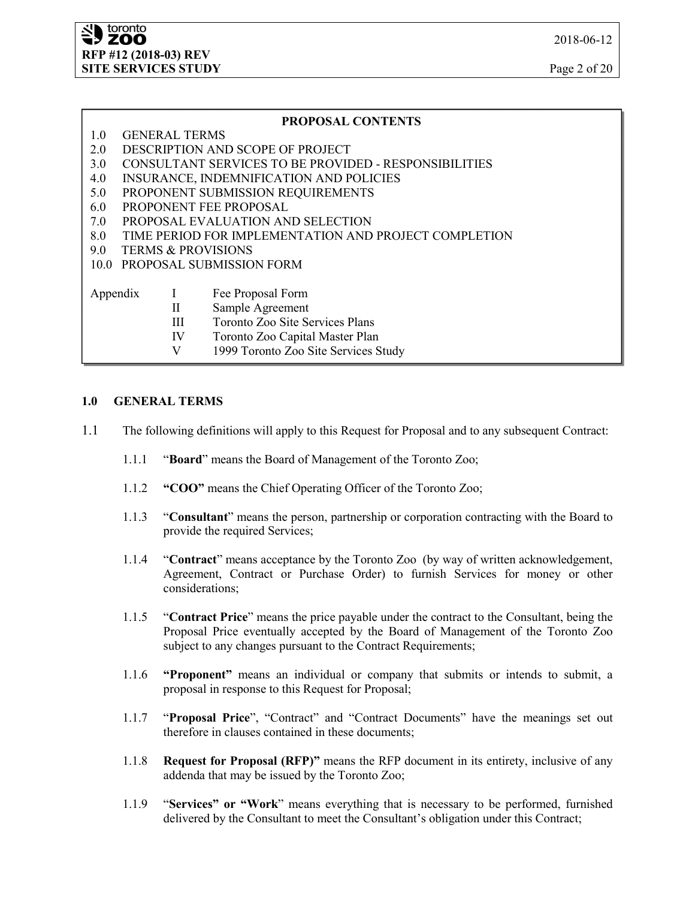### **PROPOSAL CONTENTS**

- 1.0 GENERAL TERMS
- 2.0 DESCRIPTION AND SCOPE OF PROJECT
- 3.0 CONSULTANT SERVICES TO BE PROVIDED RESPONSIBILITIES
- 4.0 INSURANCE, INDEMNIFICATION AND POLICIES
- 5.0 PROPONENT SUBMISSION REQUIREMENTS
- 6.0 PROPONENT FEE PROPOSAL
- 7.0 PROPOSAL EVALUATION AND SELECTION
- 8.0 TIME PERIOD FOR IMPLEMENTATION AND PROJECT COMPLETION
- 9.0 TERMS & PROVISIONS
- 10.0 PROPOSAL SUBMISSION FORM

| Appendix | Fee Proposal Form |
|----------|-------------------|
|          |                   |

- II Sample Agreement
- III Toronto Zoo Site Services Plans
- IV Toronto Zoo Capital Master Plan
- V 1999 Toronto Zoo Site Services Study

### **1.0 GENERAL TERMS**

- 1.1 The following definitions will apply to this Request for Proposal and to any subsequent Contract:
	- 1.1.1 "**Board**" means the Board of Management of the Toronto Zoo;
	- 1.1.2 **"COO"** means the Chief Operating Officer of the Toronto Zoo;
	- 1.1.3 "**Consultant**" means the person, partnership or corporation contracting with the Board to provide the required Services;
	- 1.1.4 "**Contract**" means acceptance by the Toronto Zoo (by way of written acknowledgement, Agreement, Contract or Purchase Order) to furnish Services for money or other considerations;
	- 1.1.5 "**Contract Price**" means the price payable under the contract to the Consultant, being the Proposal Price eventually accepted by the Board of Management of the Toronto Zoo subject to any changes pursuant to the Contract Requirements;
	- 1.1.6 **"Proponent"** means an individual or company that submits or intends to submit, a proposal in response to this Request for Proposal;
	- 1.1.7 "**Proposal Price**", "Contract" and "Contract Documents" have the meanings set out therefore in clauses contained in these documents;
	- 1.1.8 **Request for Proposal (RFP)"** means the RFP document in its entirety, inclusive of any addenda that may be issued by the Toronto Zoo;
	- 1.1.9 "**Services" or "Work**" means everything that is necessary to be performed, furnished delivered by the Consultant to meet the Consultant's obligation under this Contract;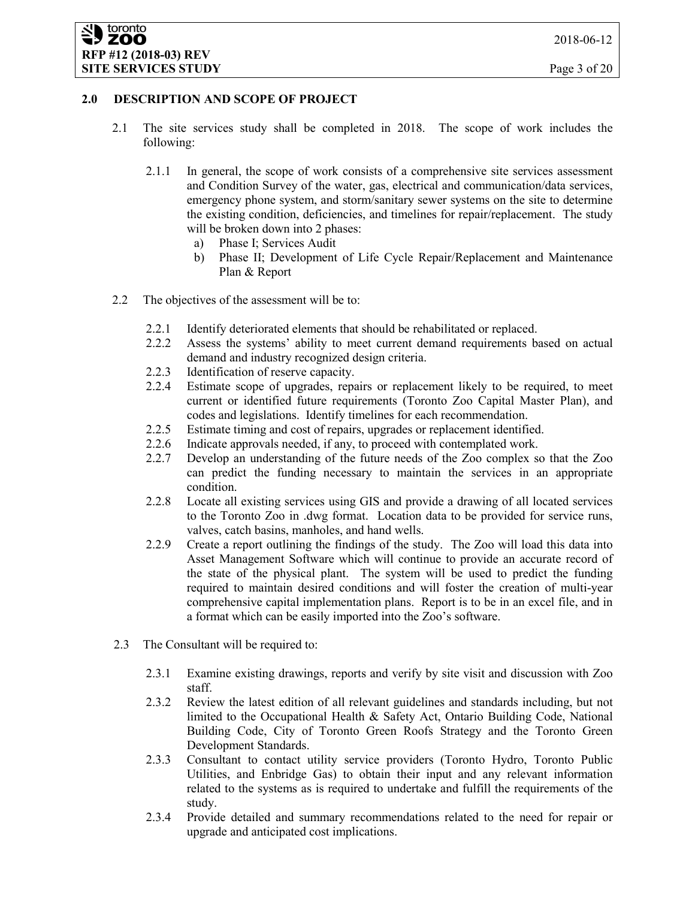### **2.0 DESCRIPTION AND SCOPE OF PROJECT**

- 2.1 The site services study shall be completed in 2018. The scope of work includes the following:
	- 2.1.1 In general, the scope of work consists of a comprehensive site services assessment and Condition Survey of the water, gas, electrical and communication/data services, emergency phone system, and storm/sanitary sewer systems on the site to determine the existing condition, deficiencies, and timelines for repair/replacement. The study will be broken down into 2 phases:
		- a) Phase I; Services Audit
		- b) Phase II; Development of Life Cycle Repair/Replacement and Maintenance Plan & Report
- 2.2 The objectives of the assessment will be to:
	- 2.2.1 Identify deteriorated elements that should be rehabilitated or replaced.
	- 2.2.2 Assess the systems' ability to meet current demand requirements based on actual demand and industry recognized design criteria.
	- 2.2.3 Identification of reserve capacity.
	- 2.2.4 Estimate scope of upgrades, repairs or replacement likely to be required, to meet current or identified future requirements (Toronto Zoo Capital Master Plan), and codes and legislations. Identify timelines for each recommendation.
	- 2.2.5 Estimate timing and cost of repairs, upgrades or replacement identified.
	- 2.2.6 Indicate approvals needed, if any, to proceed with contemplated work.
	- 2.2.7 Develop an understanding of the future needs of the Zoo complex so that the Zoo can predict the funding necessary to maintain the services in an appropriate condition.
	- 2.2.8 Locate all existing services using GIS and provide a drawing of all located services to the Toronto Zoo in .dwg format. Location data to be provided for service runs, valves, catch basins, manholes, and hand wells.
	- 2.2.9 Create a report outlining the findings of the study. The Zoo will load this data into Asset Management Software which will continue to provide an accurate record of the state of the physical plant. The system will be used to predict the funding required to maintain desired conditions and will foster the creation of multi-year comprehensive capital implementation plans. Report is to be in an excel file, and in a format which can be easily imported into the Zoo's software.
- 2.3 The Consultant will be required to:
	- 2.3.1 Examine existing drawings, reports and verify by site visit and discussion with Zoo staff.
	- 2.3.2 Review the latest edition of all relevant guidelines and standards including, but not limited to the Occupational Health & Safety Act, Ontario Building Code, National Building Code, City of Toronto Green Roofs Strategy and the Toronto Green Development Standards.
	- 2.3.3 Consultant to contact utility service providers (Toronto Hydro, Toronto Public Utilities, and Enbridge Gas) to obtain their input and any relevant information related to the systems as is required to undertake and fulfill the requirements of the study.
	- 2.3.4 Provide detailed and summary recommendations related to the need for repair or upgrade and anticipated cost implications.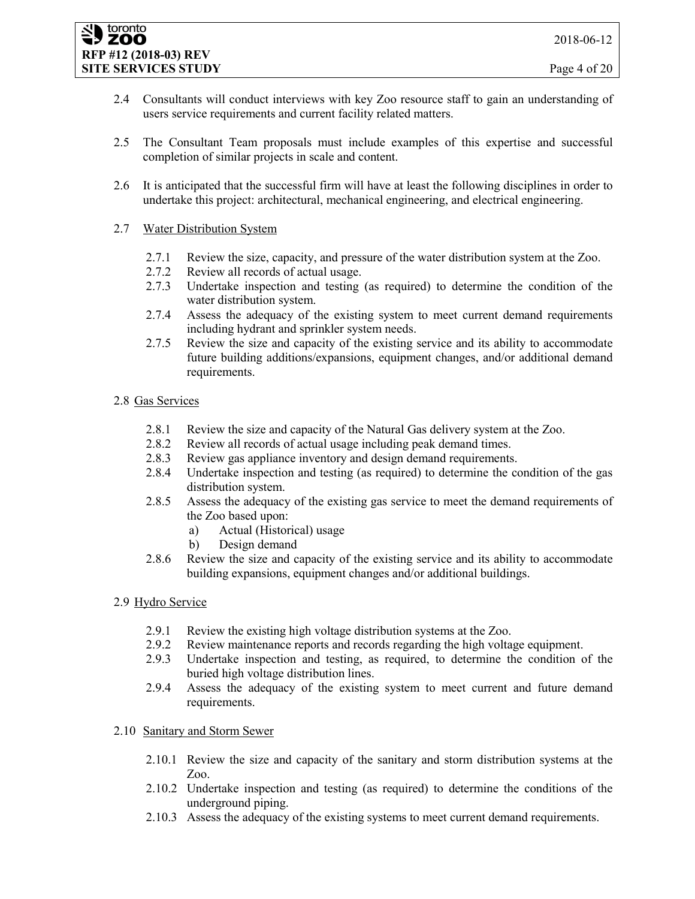#### toronto **ZOO RFP #12 (2018-03) REV SITE SERVICES STUDY** Page 4 of 20

- 2.4 Consultants will conduct interviews with key Zoo resource staff to gain an understanding of users service requirements and current facility related matters.
- 2.5 The Consultant Team proposals must include examples of this expertise and successful completion of similar projects in scale and content.
- 2.6 It is anticipated that the successful firm will have at least the following disciplines in order to undertake this project: architectural, mechanical engineering, and electrical engineering.
- 2.7 Water Distribution System
	- 2.7.1 Review the size, capacity, and pressure of the water distribution system at the Zoo.
	- 2.7.2 Review all records of actual usage.
	- 2.7.3 Undertake inspection and testing (as required) to determine the condition of the water distribution system.
	- 2.7.4 Assess the adequacy of the existing system to meet current demand requirements including hydrant and sprinkler system needs.
	- 2.7.5 Review the size and capacity of the existing service and its ability to accommodate future building additions/expansions, equipment changes, and/or additional demand requirements.

### 2.8 Gas Services

- 2.8.1 Review the size and capacity of the Natural Gas delivery system at the Zoo.
- 2.8.2 Review all records of actual usage including peak demand times.
- 2.8.3 Review gas appliance inventory and design demand requirements.
- 2.8.4 Undertake inspection and testing (as required) to determine the condition of the gas distribution system.
- 2.8.5 Assess the adequacy of the existing gas service to meet the demand requirements of the Zoo based upon:
	- a) Actual (Historical) usage
	- b) Design demand
- 2.8.6 Review the size and capacity of the existing service and its ability to accommodate building expansions, equipment changes and/or additional buildings.

## 2.9 Hydro Service

- 2.9.1 Review the existing high voltage distribution systems at the Zoo.
- 2.9.2 Review maintenance reports and records regarding the high voltage equipment.
- 2.9.3 Undertake inspection and testing, as required, to determine the condition of the buried high voltage distribution lines.
- 2.9.4 Assess the adequacy of the existing system to meet current and future demand requirements.

### 2.10 Sanitary and Storm Sewer

- 2.10.1 Review the size and capacity of the sanitary and storm distribution systems at the Zoo.
- 2.10.2 Undertake inspection and testing (as required) to determine the conditions of the underground piping.
- 2.10.3 Assess the adequacy of the existing systems to meet current demand requirements.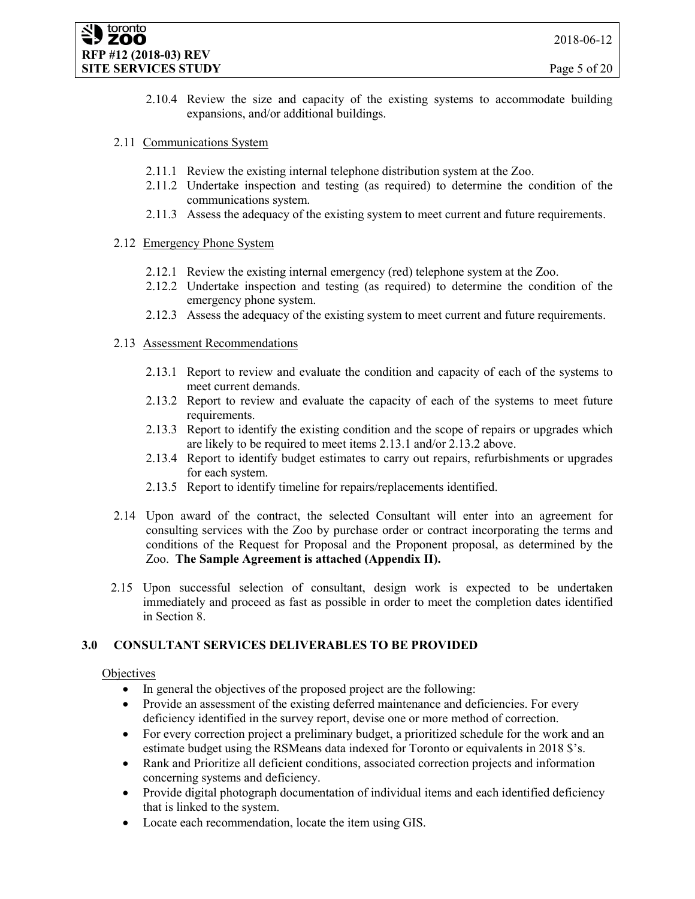2.10.4 Review the size and capacity of the existing systems to accommodate building expansions, and/or additional buildings.

### 2.11 Communications System

- 2.11.1 Review the existing internal telephone distribution system at the Zoo.
- 2.11.2 Undertake inspection and testing (as required) to determine the condition of the communications system.
- 2.11.3 Assess the adequacy of the existing system to meet current and future requirements.

### 2.12 Emergency Phone System

- 2.12.1 Review the existing internal emergency (red) telephone system at the Zoo.
- 2.12.2 Undertake inspection and testing (as required) to determine the condition of the emergency phone system.
- 2.12.3 Assess the adequacy of the existing system to meet current and future requirements.

### 2.13 Assessment Recommendations

- 2.13.1 Report to review and evaluate the condition and capacity of each of the systems to meet current demands.
- 2.13.2 Report to review and evaluate the capacity of each of the systems to meet future requirements.
- 2.13.3 Report to identify the existing condition and the scope of repairs or upgrades which are likely to be required to meet items 2.13.1 and/or 2.13.2 above.
- 2.13.4 Report to identify budget estimates to carry out repairs, refurbishments or upgrades for each system.
- 2.13.5 Report to identify timeline for repairs/replacements identified.
- 2.14 Upon award of the contract, the selected Consultant will enter into an agreement for consulting services with the Zoo by purchase order or contract incorporating the terms and conditions of the Request for Proposal and the Proponent proposal, as determined by the Zoo. **The Sample Agreement is attached (Appendix II).**
- 2.15 Upon successful selection of consultant, design work is expected to be undertaken immediately and proceed as fast as possible in order to meet the completion dates identified in Section 8.

## **3.0 CONSULTANT SERVICES DELIVERABLES TO BE PROVIDED**

### **Objectives**

- In general the objectives of the proposed project are the following:
- Provide an assessment of the existing deferred maintenance and deficiencies. For every deficiency identified in the survey report, devise one or more method of correction.
- For every correction project a preliminary budget, a prioritized schedule for the work and an estimate budget using the RSMeans data indexed for Toronto or equivalents in 2018 \$'s.
- Rank and Prioritize all deficient conditions, associated correction projects and information concerning systems and deficiency.
- Provide digital photograph documentation of individual items and each identified deficiency that is linked to the system.
- Locate each recommendation, locate the item using GIS.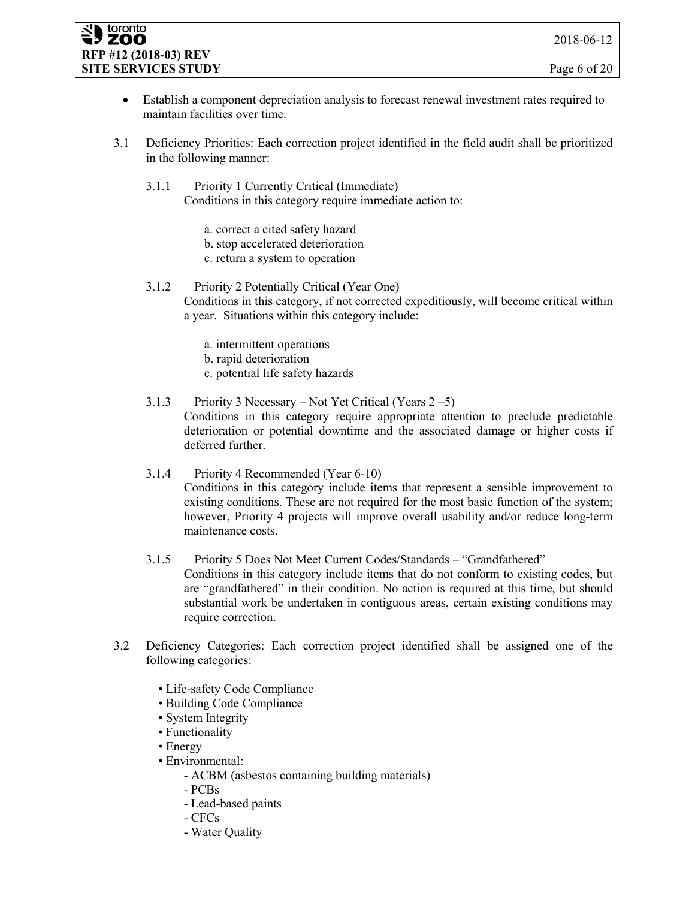#### toronto **ZOO RFP #12 (2018-03) REV SITE SERVICES STUDY** Page 6 of 20

- Establish a component depreciation analysis to forecast renewal investment rates required to maintain facilities over time.
- 3.1 Deficiency Priorities: Each correction project identified in the field audit shall be prioritized in the following manner:
	- 3.1.1 Priority 1 Currently Critical (Immediate) Conditions in this category require immediate action to:
		- a. correct a cited safety hazard
		- b. stop accelerated deterioration
		- c. return a system to operation

## 3.1.2 Priority 2 Potentially Critical (Year One)

Conditions in this category, if not corrected expeditiously, will become critical within a year. Situations within this category include:

- a. intermittent operations
- b. rapid deterioration
- c. potential life safety hazards

#### 3.1.3 Priority 3 Necessary – Not Yet Critical (Years 2 –5) Conditions in this category require appropriate attention to preclude predictable deterioration or potential downtime and the associated damage or higher costs if deferred further.

### 3.1.4 Priority 4 Recommended (Year 6-10) Conditions in this category include items that represent a sensible improvement to existing conditions. These are not required for the most basic function of the system; however, Priority 4 projects will improve overall usability and/or reduce long-term maintenance costs.

### 3.1.5 Priority 5 Does Not Meet Current Codes/Standards – "Grandfathered" Conditions in this category include items that do not conform to existing codes, but are "grandfathered" in their condition. No action is required at this time, but should substantial work be undertaken in contiguous areas, certain existing conditions may require correction.

- 3.2 Deficiency Categories: Each correction project identified shall be assigned one of the following categories:
	- Life-safety Code Compliance
	- Building Code Compliance
	- System Integrity
	- Functionality
	- Energy
	- Environmental:
		- ACBM (asbestos containing building materials)
		- PCBs
		- Lead-based paints
		- CFCs
		- Water Quality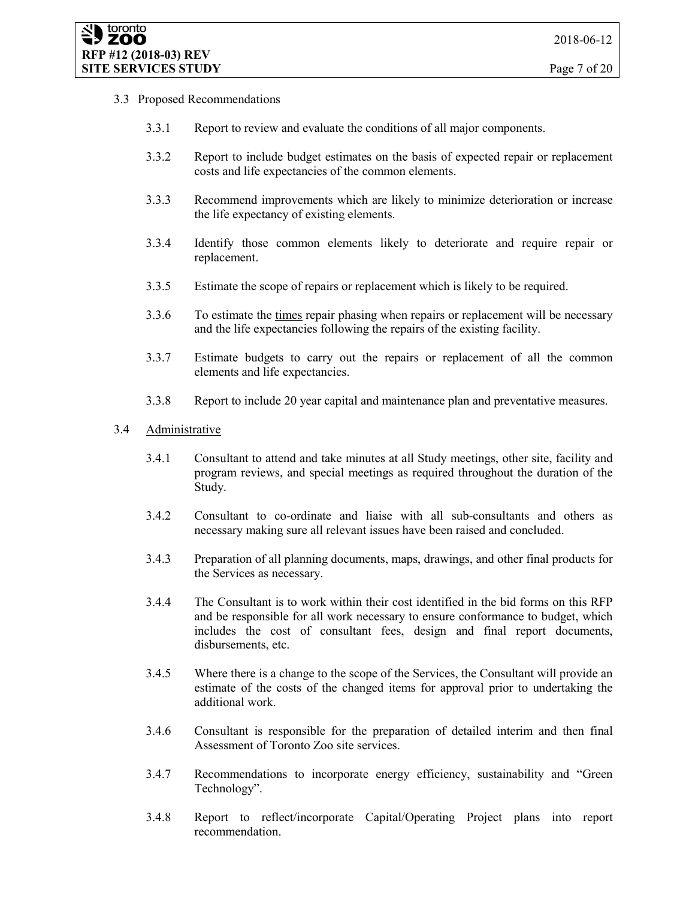### 3.3 Proposed Recommendations

- 3.3.1 Report to review and evaluate the conditions of all major components.
- 3.3.2 Report to include budget estimates on the basis of expected repair or replacement costs and life expectancies of the common elements.
- 3.3.3 Recommend improvements which are likely to minimize deterioration or increase the life expectancy of existing elements.
- 3.3.4 Identify those common elements likely to deteriorate and require repair or replacement.
- 3.3.5 Estimate the scope of repairs or replacement which is likely to be required.
- 3.3.6 To estimate the times repair phasing when repairs or replacement will be necessary and the life expectancies following the repairs of the existing facility.
- 3.3.7 Estimate budgets to carry out the repairs or replacement of all the common elements and life expectancies.
- 3.3.8 Report to include 20 year capital and maintenance plan and preventative measures.

#### 3.4 Administrative

- 3.4.1 Consultant to attend and take minutes at all Study meetings, other site, facility and program reviews, and special meetings as required throughout the duration of the Study.
- 3.4.2 Consultant to co-ordinate and liaise with all sub-consultants and others as necessary making sure all relevant issues have been raised and concluded.
- 3.4.3 Preparation of all planning documents, maps, drawings, and other final products for the Services as necessary.
- 3.4.4 The Consultant is to work within their cost identified in the bid forms on this RFP and be responsible for all work necessary to ensure conformance to budget, which includes the cost of consultant fees, design and final report documents, disbursements, etc.
- 3.4.5 Where there is a change to the scope of the Services, the Consultant will provide an estimate of the costs of the changed items for approval prior to undertaking the additional work.
- 3.4.6 Consultant is responsible for the preparation of detailed interim and then final Assessment of Toronto Zoo site services.
- 3.4.7 Recommendations to incorporate energy efficiency, sustainability and "Green Technology".
- 3.4.8 Report to reflect/incorporate Capital/Operating Project plans into report recommendation.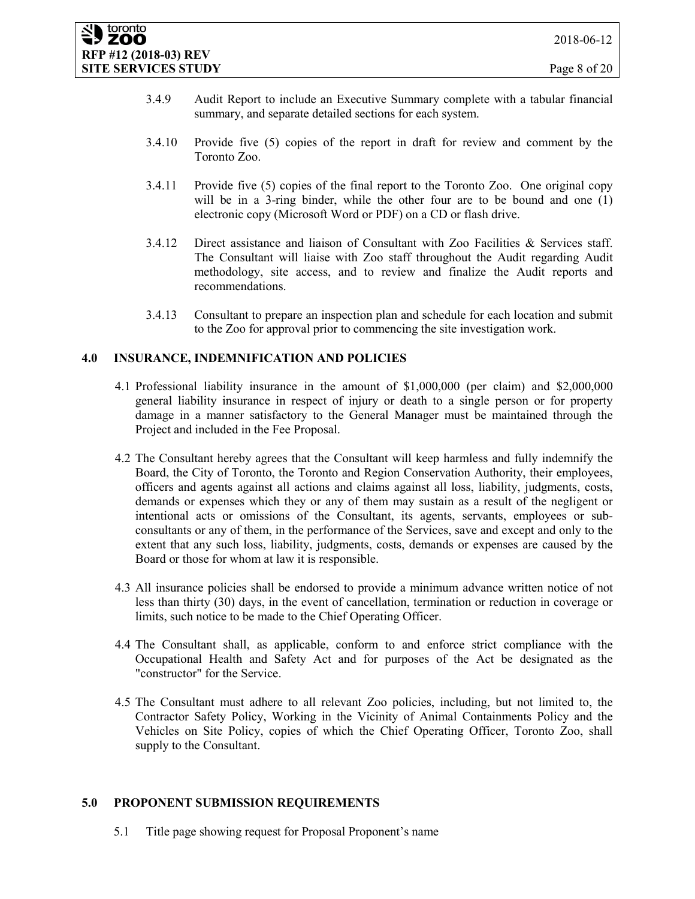- 3.4.9 Audit Report to include an Executive Summary complete with a tabular financial summary, and separate detailed sections for each system.
- 3.4.10 Provide five (5) copies of the report in draft for review and comment by the Toronto Zoo.
- 3.4.11 Provide five (5) copies of the final report to the Toronto Zoo. One original copy will be in a 3-ring binder, while the other four are to be bound and one (1) electronic copy (Microsoft Word or PDF) on a CD or flash drive.
- 3.4.12 Direct assistance and liaison of Consultant with Zoo Facilities & Services staff. The Consultant will liaise with Zoo staff throughout the Audit regarding Audit methodology, site access, and to review and finalize the Audit reports and recommendations.
- 3.4.13 Consultant to prepare an inspection plan and schedule for each location and submit to the Zoo for approval prior to commencing the site investigation work.

### **4.0 INSURANCE, INDEMNIFICATION AND POLICIES**

- 4.1 Professional liability insurance in the amount of \$1,000,000 (per claim) and \$2,000,000 general liability insurance in respect of injury or death to a single person or for property damage in a manner satisfactory to the General Manager must be maintained through the Project and included in the Fee Proposal.
- 4.2 The Consultant hereby agrees that the Consultant will keep harmless and fully indemnify the Board, the City of Toronto, the Toronto and Region Conservation Authority, their employees, officers and agents against all actions and claims against all loss, liability, judgments, costs, demands or expenses which they or any of them may sustain as a result of the negligent or intentional acts or omissions of the Consultant, its agents, servants, employees or subconsultants or any of them, in the performance of the Services, save and except and only to the extent that any such loss, liability, judgments, costs, demands or expenses are caused by the Board or those for whom at law it is responsible.
- 4.3 All insurance policies shall be endorsed to provide a minimum advance written notice of not less than thirty (30) days, in the event of cancellation, termination or reduction in coverage or limits, such notice to be made to the Chief Operating Officer.
- 4.4 The Consultant shall, as applicable, conform to and enforce strict compliance with the Occupational Health and Safety Act and for purposes of the Act be designated as the "constructor" for the Service.
- 4.5 The Consultant must adhere to all relevant Zoo policies, including, but not limited to, the Contractor Safety Policy, Working in the Vicinity of Animal Containments Policy and the Vehicles on Site Policy, copies of which the Chief Operating Officer, Toronto Zoo, shall supply to the Consultant.

### **5.0 PROPONENT SUBMISSION REQUIREMENTS**

5.1 Title page showing request for Proposal Proponent's name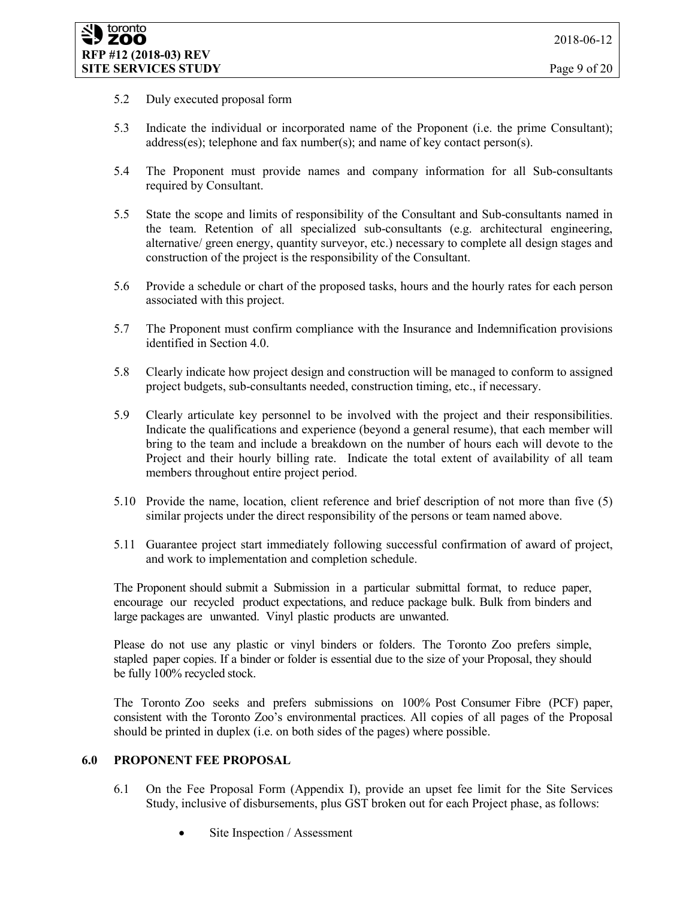- 5.2 Duly executed proposal form
- 5.3 Indicate the individual or incorporated name of the Proponent (i.e. the prime Consultant); address(es); telephone and fax number(s); and name of key contact person(s).
- 5.4 The Proponent must provide names and company information for all Sub-consultants required by Consultant.
- 5.5 State the scope and limits of responsibility of the Consultant and Sub-consultants named in the team. Retention of all specialized sub-consultants (e.g. architectural engineering, alternative/ green energy, quantity surveyor, etc.) necessary to complete all design stages and construction of the project is the responsibility of the Consultant.
- 5.6 Provide a schedule or chart of the proposed tasks, hours and the hourly rates for each person associated with this project.
- 5.7 The Proponent must confirm compliance with the Insurance and Indemnification provisions identified in Section 4.0.
- 5.8 Clearly indicate how project design and construction will be managed to conform to assigned project budgets, sub-consultants needed, construction timing, etc., if necessary.
- 5.9 Clearly articulate key personnel to be involved with the project and their responsibilities. Indicate the qualifications and experience (beyond a general resume), that each member will bring to the team and include a breakdown on the number of hours each will devote to the Project and their hourly billing rate. Indicate the total extent of availability of all team members throughout entire project period.
- 5.10 Provide the name, location, client reference and brief description of not more than five (5) similar projects under the direct responsibility of the persons or team named above.
- 5.11 Guarantee project start immediately following successful confirmation of award of project, and work to implementation and completion schedule.

The Proponent should submit a Submission in a particular submittal format, to reduce paper, encourage our recycled product expectations, and reduce package bulk. Bulk from binders and large packages are unwanted. Vinyl plastic products are unwanted.

Please do not use any plastic or vinyl binders or folders. The Toronto Zoo prefers simple, stapled paper copies. If a binder or folder is essential due to the size of your Proposal, they should be fully 100% recycled stock.

The Toronto Zoo seeks and prefers submissions on 100% Post Consumer Fibre (PCF) paper, consistent with the Toronto Zoo's environmental practices. All copies of all pages of the Proposal should be printed in duplex (i.e. on both sides of the pages) where possible.

### **6.0 PROPONENT FEE PROPOSAL**

- 6.1 On the Fee Proposal Form (Appendix I), provide an upset fee limit for the Site Services Study, inclusive of disbursements, plus GST broken out for each Project phase, as follows:
	- Site Inspection / Assessment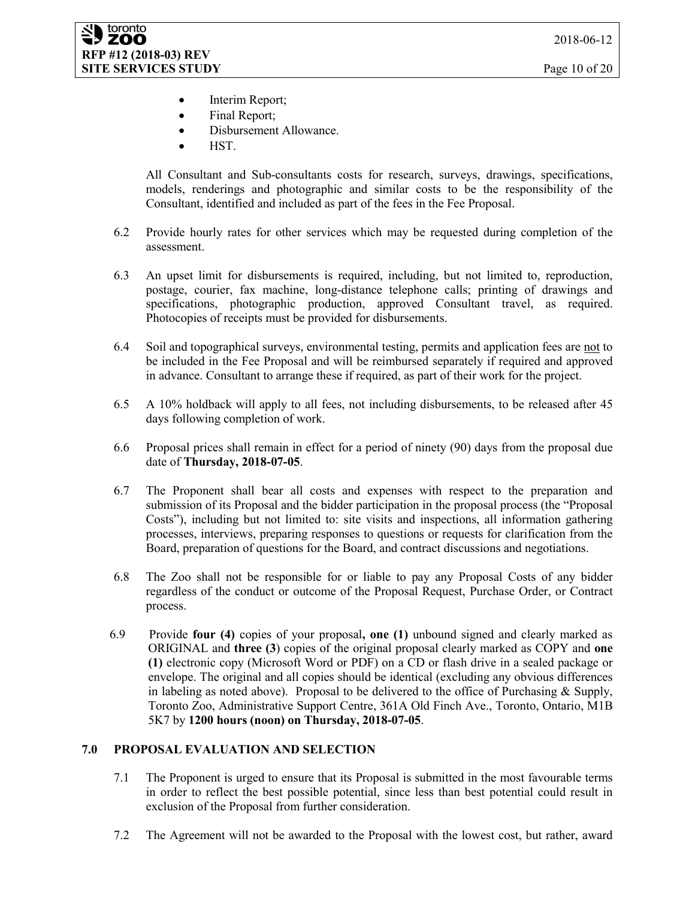- Interim Report;
- Final Report;
- Disbursement Allowance.
- HST.

All Consultant and Sub-consultants costs for research, surveys, drawings, specifications, models, renderings and photographic and similar costs to be the responsibility of the Consultant, identified and included as part of the fees in the Fee Proposal.

- 6.2 Provide hourly rates for other services which may be requested during completion of the assessment.
- 6.3 An upset limit for disbursements is required, including, but not limited to, reproduction, postage, courier, fax machine, long-distance telephone calls; printing of drawings and specifications, photographic production, approved Consultant travel, as required. Photocopies of receipts must be provided for disbursements.
- 6.4 Soil and topographical surveys, environmental testing, permits and application fees are not to be included in the Fee Proposal and will be reimbursed separately if required and approved in advance. Consultant to arrange these if required, as part of their work for the project.
- 6.5 A 10% holdback will apply to all fees, not including disbursements, to be released after 45 days following completion of work.
- 6.6 Proposal prices shall remain in effect for a period of ninety (90) days from the proposal due date of **Thursday, 2018-07-05**.
- 6.7 The Proponent shall bear all costs and expenses with respect to the preparation and submission of its Proposal and the bidder participation in the proposal process (the "Proposal Costs"), including but not limited to: site visits and inspections, all information gathering processes, interviews, preparing responses to questions or requests for clarification from the Board, preparation of questions for the Board, and contract discussions and negotiations.
- 6.8 The Zoo shall not be responsible for or liable to pay any Proposal Costs of any bidder regardless of the conduct or outcome of the Proposal Request, Purchase Order, or Contract process.
- 6.9 Provide **four (4)** copies of your proposal**, one (1)** unbound signed and clearly marked as ORIGINAL and **three (3**) copies of the original proposal clearly marked as COPY and **one (1)** electronic copy (Microsoft Word or PDF) on a CD or flash drive in a sealed package or envelope. The original and all copies should be identical (excluding any obvious differences in labeling as noted above). Proposal to be delivered to the office of Purchasing  $\&$  Supply, Toronto Zoo, Administrative Support Centre, 361A Old Finch Ave., Toronto, Ontario, M1B 5K7 by **1200 hours (noon) on Thursday, 2018-07-05**.

## **7.0 PROPOSAL EVALUATION AND SELECTION**

- 7.1 The Proponent is urged to ensure that its Proposal is submitted in the most favourable terms in order to reflect the best possible potential, since less than best potential could result in exclusion of the Proposal from further consideration.
- 7.2 The Agreement will not be awarded to the Proposal with the lowest cost, but rather, award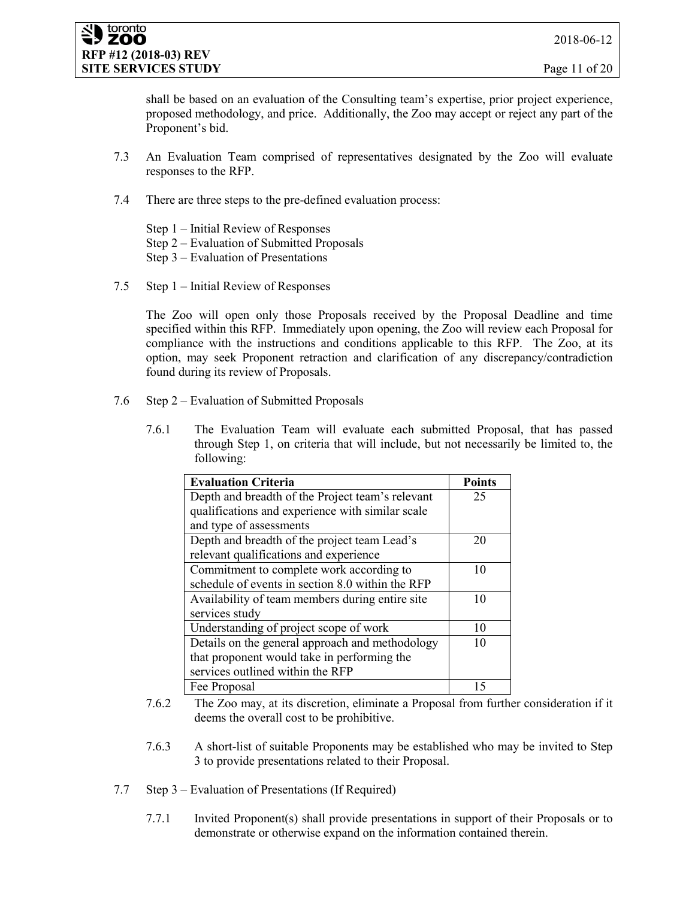shall be based on an evaluation of the Consulting team's expertise, prior project experience, proposed methodology, and price. Additionally, the Zoo may accept or reject any part of the Proponent's bid.

- 7.3 An Evaluation Team comprised of representatives designated by the Zoo will evaluate responses to the RFP.
- 7.4 There are three steps to the pre-defined evaluation process:

Step 1 – Initial Review of Responses Step 2 – Evaluation of Submitted Proposals Step 3 – Evaluation of Presentations

7.5 Step 1 – Initial Review of Responses

The Zoo will open only those Proposals received by the Proposal Deadline and time specified within this RFP. Immediately upon opening, the Zoo will review each Proposal for compliance with the instructions and conditions applicable to this RFP. The Zoo, at its option, may seek Proponent retraction and clarification of any discrepancy/contradiction found during its review of Proposals.

- 7.6 Step 2 Evaluation of Submitted Proposals
	- 7.6.1 The Evaluation Team will evaluate each submitted Proposal, that has passed through Step 1, on criteria that will include, but not necessarily be limited to, the following:

| <b>Evaluation Criteria</b>                       | <b>Points</b> |
|--------------------------------------------------|---------------|
| Depth and breadth of the Project team's relevant | 25            |
| qualifications and experience with similar scale |               |
| and type of assessments                          |               |
| Depth and breadth of the project team Lead's     | 20            |
| relevant qualifications and experience           |               |
| Commitment to complete work according to         | 10            |
| schedule of events in section 8.0 within the RFP |               |
| Availability of team members during entire site  | 10            |
| services study                                   |               |
| Understanding of project scope of work           | 10            |
| Details on the general approach and methodology  | 10            |
| that proponent would take in performing the      |               |
| services outlined within the RFP                 |               |
| Fee Proposal                                     | 15            |

- 7.6.2 The Zoo may, at its discretion, eliminate a Proposal from further consideration if it deems the overall cost to be prohibitive.
- 7.6.3 A short-list of suitable Proponents may be established who may be invited to Step 3 to provide presentations related to their Proposal.
- 7.7 Step 3 Evaluation of Presentations (If Required)
	- 7.7.1 Invited Proponent(s) shall provide presentations in support of their Proposals or to demonstrate or otherwise expand on the information contained therein.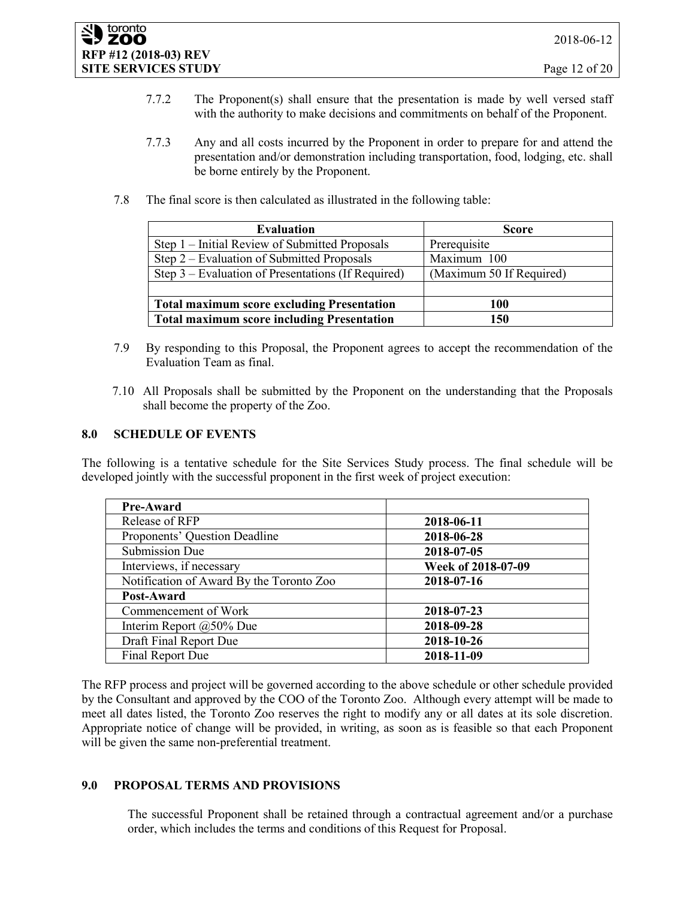- 7.7.2 The Proponent(s) shall ensure that the presentation is made by well versed staff with the authority to make decisions and commitments on behalf of the Proponent.
- 7.7.3 Any and all costs incurred by the Proponent in order to prepare for and attend the presentation and/or demonstration including transportation, food, lodging, etc. shall be borne entirely by the Proponent.
- 7.8 The final score is then calculated as illustrated in the following table:

| <b>Evaluation</b>                                  | <b>Score</b>             |  |
|----------------------------------------------------|--------------------------|--|
| Step 1 – Initial Review of Submitted Proposals     | Prerequisite             |  |
| Step 2 – Evaluation of Submitted Proposals         | Maximum 100              |  |
| Step 3 – Evaluation of Presentations (If Required) | (Maximum 50 If Required) |  |
|                                                    |                          |  |
| <b>Total maximum score excluding Presentation</b>  | 100                      |  |
| <b>Total maximum score including Presentation</b>  | 150                      |  |

- 7.9 By responding to this Proposal, the Proponent agrees to accept the recommendation of the Evaluation Team as final.
- 7.10 All Proposals shall be submitted by the Proponent on the understanding that the Proposals shall become the property of the Zoo.

### **8.0 SCHEDULE OF EVENTS**

The following is a tentative schedule for the Site Services Study process. The final schedule will be developed jointly with the successful proponent in the first week of project execution:

| <b>Pre-Award</b>                         |                    |  |  |
|------------------------------------------|--------------------|--|--|
| Release of RFP                           | 2018-06-11         |  |  |
| Proponents' Question Deadline            | 2018-06-28         |  |  |
| <b>Submission Due</b>                    | 2018-07-05         |  |  |
| Interviews, if necessary                 | Week of 2018-07-09 |  |  |
| Notification of Award By the Toronto Zoo | 2018-07-16         |  |  |
| Post-Award                               |                    |  |  |
| Commencement of Work                     | 2018-07-23         |  |  |
| Interim Report $(a)$ 50% Due             | 2018-09-28         |  |  |
| Draft Final Report Due                   | 2018-10-26         |  |  |
| Final Report Due                         | 2018-11-09         |  |  |

The RFP process and project will be governed according to the above schedule or other schedule provided by the Consultant and approved by the COO of the Toronto Zoo. Although every attempt will be made to meet all dates listed, the Toronto Zoo reserves the right to modify any or all dates at its sole discretion. Appropriate notice of change will be provided, in writing, as soon as is feasible so that each Proponent will be given the same non-preferential treatment.

### **9.0 PROPOSAL TERMS AND PROVISIONS**

The successful Proponent shall be retained through a contractual agreement and/or a purchase order, which includes the terms and conditions of this Request for Proposal.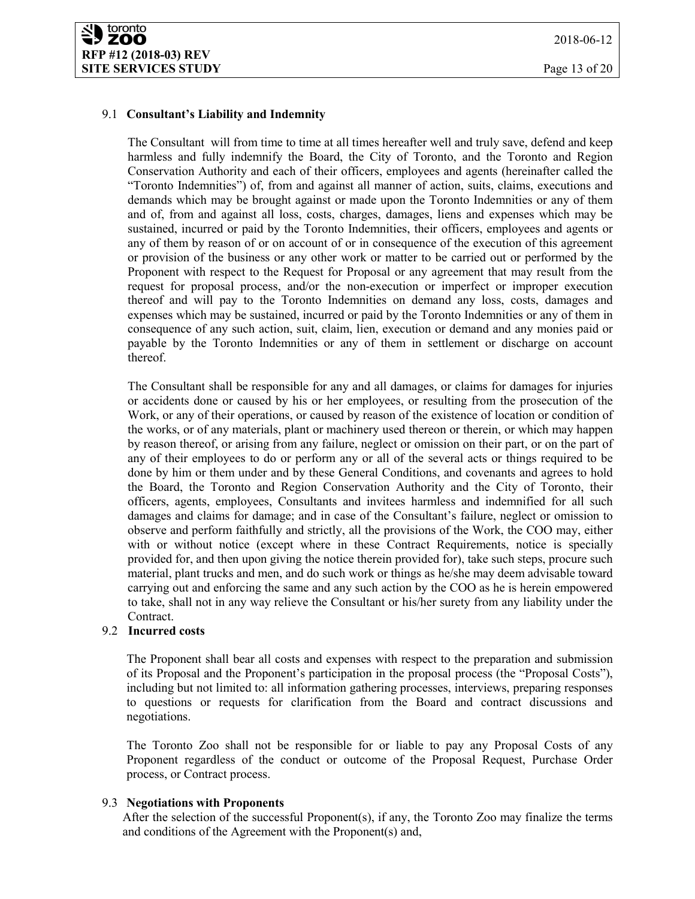### 9.1 **Consultant's Liability and Indemnity**

The Consultant will from time to time at all times hereafter well and truly save, defend and keep harmless and fully indemnify the Board, the City of Toronto, and the Toronto and Region Conservation Authority and each of their officers, employees and agents (hereinafter called the "Toronto Indemnities") of, from and against all manner of action, suits, claims, executions and demands which may be brought against or made upon the Toronto Indemnities or any of them and of, from and against all loss, costs, charges, damages, liens and expenses which may be sustained, incurred or paid by the Toronto Indemnities, their officers, employees and agents or any of them by reason of or on account of or in consequence of the execution of this agreement or provision of the business or any other work or matter to be carried out or performed by the Proponent with respect to the Request for Proposal or any agreement that may result from the request for proposal process, and/or the non-execution or imperfect or improper execution thereof and will pay to the Toronto Indemnities on demand any loss, costs, damages and expenses which may be sustained, incurred or paid by the Toronto Indemnities or any of them in consequence of any such action, suit, claim, lien, execution or demand and any monies paid or payable by the Toronto Indemnities or any of them in settlement or discharge on account thereof.

The Consultant shall be responsible for any and all damages, or claims for damages for injuries or accidents done or caused by his or her employees, or resulting from the prosecution of the Work, or any of their operations, or caused by reason of the existence of location or condition of the works, or of any materials, plant or machinery used thereon or therein, or which may happen by reason thereof, or arising from any failure, neglect or omission on their part, or on the part of any of their employees to do or perform any or all of the several acts or things required to be done by him or them under and by these General Conditions, and covenants and agrees to hold the Board, the Toronto and Region Conservation Authority and the City of Toronto, their officers, agents, employees, Consultants and invitees harmless and indemnified for all such damages and claims for damage; and in case of the Consultant's failure, neglect or omission to observe and perform faithfully and strictly, all the provisions of the Work, the COO may, either with or without notice (except where in these Contract Requirements, notice is specially provided for, and then upon giving the notice therein provided for), take such steps, procure such material, plant trucks and men, and do such work or things as he/she may deem advisable toward carrying out and enforcing the same and any such action by the COO as he is herein empowered to take, shall not in any way relieve the Consultant or his/her surety from any liability under the Contract.

### 9.2 **Incurred costs**

The Proponent shall bear all costs and expenses with respect to the preparation and submission of its Proposal and the Proponent's participation in the proposal process (the "Proposal Costs"), including but not limited to: all information gathering processes, interviews, preparing responses to questions or requests for clarification from the Board and contract discussions and negotiations.

The Toronto Zoo shall not be responsible for or liable to pay any Proposal Costs of any Proponent regardless of the conduct or outcome of the Proposal Request, Purchase Order process, or Contract process.

### 9.3 **Negotiations with Proponents**

After the selection of the successful Proponent(s), if any, the Toronto Zoo may finalize the terms and conditions of the Agreement with the Proponent(s) and,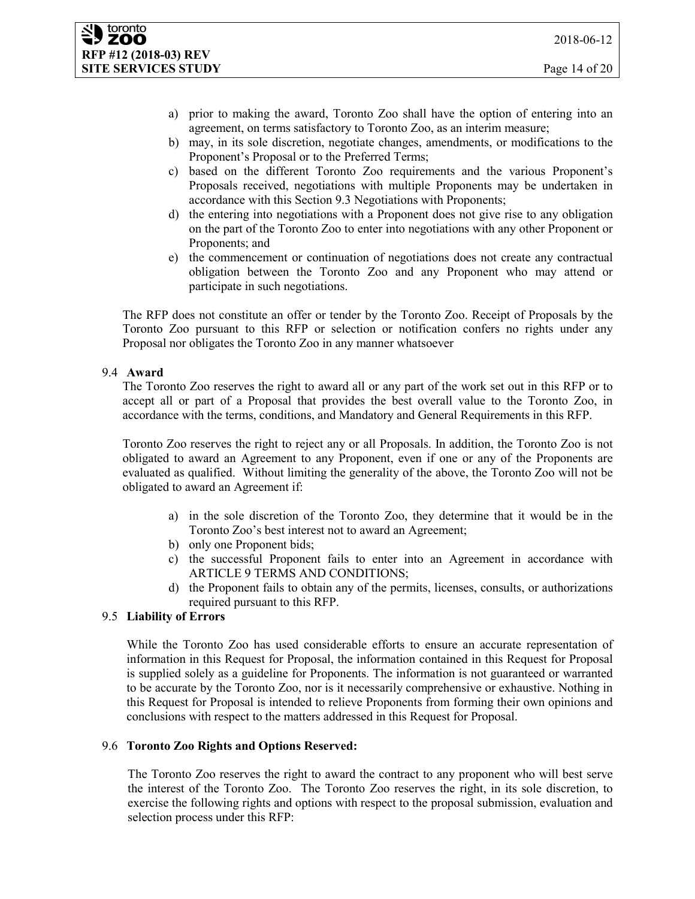#### toronto **ZOO RFP #12 (2018-03) REV SITE SERVICES STUDY** Page 14 of 20

- a) prior to making the award, Toronto Zoo shall have the option of entering into an agreement, on terms satisfactory to Toronto Zoo, as an interim measure;
- b) may, in its sole discretion, negotiate changes, amendments, or modifications to the Proponent's Proposal or to the Preferred Terms;
- c) based on the different Toronto Zoo requirements and the various Proponent's Proposals received, negotiations with multiple Proponents may be undertaken in accordance with this Section 9.3 Negotiations with Proponents;
- d) the entering into negotiations with a Proponent does not give rise to any obligation on the part of the Toronto Zoo to enter into negotiations with any other Proponent or Proponents; and
- e) the commencement or continuation of negotiations does not create any contractual obligation between the Toronto Zoo and any Proponent who may attend or participate in such negotiations.

The RFP does not constitute an offer or tender by the Toronto Zoo. Receipt of Proposals by the Toronto Zoo pursuant to this RFP or selection or notification confers no rights under any Proposal nor obligates the Toronto Zoo in any manner whatsoever

### 9.4 **Award**

The Toronto Zoo reserves the right to award all or any part of the work set out in this RFP or to accept all or part of a Proposal that provides the best overall value to the Toronto Zoo, in accordance with the terms, conditions, and Mandatory and General Requirements in this RFP.

Toronto Zoo reserves the right to reject any or all Proposals. In addition, the Toronto Zoo is not obligated to award an Agreement to any Proponent, even if one or any of the Proponents are evaluated as qualified. Without limiting the generality of the above, the Toronto Zoo will not be obligated to award an Agreement if:

- a) in the sole discretion of the Toronto Zoo, they determine that it would be in the Toronto Zoo's best interest not to award an Agreement;
- b) only one Proponent bids;
- c) the successful Proponent fails to enter into an Agreement in accordance with ARTICLE 9 TERMS AND CONDITIONS;
- d) the Proponent fails to obtain any of the permits, licenses, consults, or authorizations required pursuant to this RFP.

### 9.5 **Liability of Errors**

While the Toronto Zoo has used considerable efforts to ensure an accurate representation of information in this Request for Proposal, the information contained in this Request for Proposal is supplied solely as a guideline for Proponents. The information is not guaranteed or warranted to be accurate by the Toronto Zoo, nor is it necessarily comprehensive or exhaustive. Nothing in this Request for Proposal is intended to relieve Proponents from forming their own opinions and conclusions with respect to the matters addressed in this Request for Proposal.

### 9.6 **Toronto Zoo Rights and Options Reserved:**

The Toronto Zoo reserves the right to award the contract to any proponent who will best serve the interest of the Toronto Zoo. The Toronto Zoo reserves the right, in its sole discretion, to exercise the following rights and options with respect to the proposal submission, evaluation and selection process under this RFP: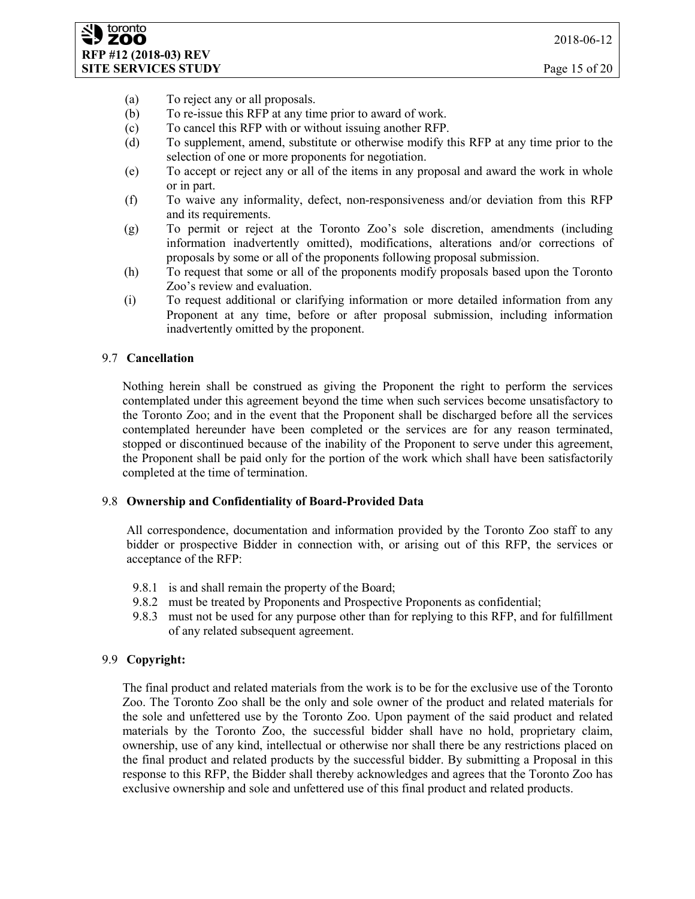- (a) To reject any or all proposals.
- (b) To re-issue this RFP at any time prior to award of work.
- (c) To cancel this RFP with or without issuing another RFP.
- (d) To supplement, amend, substitute or otherwise modify this RFP at any time prior to the selection of one or more proponents for negotiation.
- (e) To accept or reject any or all of the items in any proposal and award the work in whole or in part.
- (f) To waive any informality, defect, non-responsiveness and/or deviation from this RFP and its requirements.
- (g) To permit or reject at the Toronto Zoo's sole discretion, amendments (including information inadvertently omitted), modifications, alterations and/or corrections of proposals by some or all of the proponents following proposal submission.
- (h) To request that some or all of the proponents modify proposals based upon the Toronto Zoo's review and evaluation.
- (i) To request additional or clarifying information or more detailed information from any Proponent at any time, before or after proposal submission, including information inadvertently omitted by the proponent.

### 9.7 **Cancellation**

Nothing herein shall be construed as giving the Proponent the right to perform the services contemplated under this agreement beyond the time when such services become unsatisfactory to the Toronto Zoo; and in the event that the Proponent shall be discharged before all the services contemplated hereunder have been completed or the services are for any reason terminated, stopped or discontinued because of the inability of the Proponent to serve under this agreement, the Proponent shall be paid only for the portion of the work which shall have been satisfactorily completed at the time of termination.

#### 9.8 **Ownership and Confidentiality of Board-Provided Data**

All correspondence, documentation and information provided by the Toronto Zoo staff to any bidder or prospective Bidder in connection with, or arising out of this RFP, the services or acceptance of the RFP:

- 9.8.1 is and shall remain the property of the Board;
- 9.8.2 must be treated by Proponents and Prospective Proponents as confidential;
- 9.8.3 must not be used for any purpose other than for replying to this RFP, and for fulfillment of any related subsequent agreement.

### 9.9 **Copyright:**

The final product and related materials from the work is to be for the exclusive use of the Toronto Zoo. The Toronto Zoo shall be the only and sole owner of the product and related materials for the sole and unfettered use by the Toronto Zoo. Upon payment of the said product and related materials by the Toronto Zoo, the successful bidder shall have no hold, proprietary claim, ownership, use of any kind, intellectual or otherwise nor shall there be any restrictions placed on the final product and related products by the successful bidder. By submitting a Proposal in this response to this RFP, the Bidder shall thereby acknowledges and agrees that the Toronto Zoo has exclusive ownership and sole and unfettered use of this final product and related products.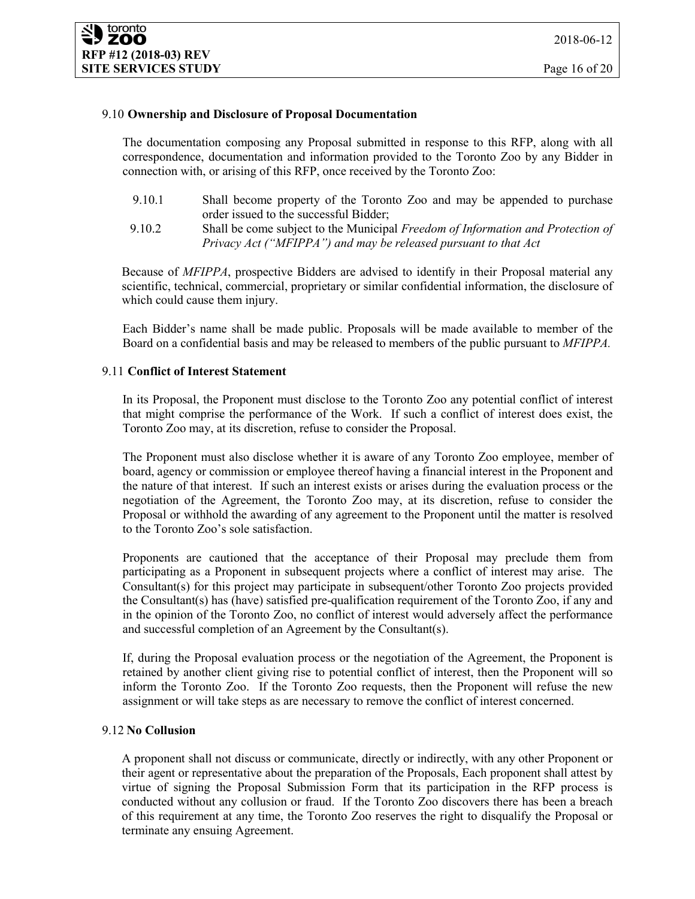### 9.10 **Ownership and Disclosure of Proposal Documentation**

The documentation composing any Proposal submitted in response to this RFP, along with all correspondence, documentation and information provided to the Toronto Zoo by any Bidder in connection with, or arising of this RFP, once received by the Toronto Zoo:

- 9.10.1 Shall become property of the Toronto Zoo and may be appended to purchase order issued to the successful Bidder;
- 9.10.2 Shall be come subject to the Municipal *Freedom of Information and Protection of Privacy Act ("MFIPPA") and may be released pursuant to that Act*

Because of *MFIPPA*, prospective Bidders are advised to identify in their Proposal material any scientific, technical, commercial, proprietary or similar confidential information, the disclosure of which could cause them injury.

Each Bidder's name shall be made public. Proposals will be made available to member of the Board on a confidential basis and may be released to members of the public pursuant to *MFIPPA.*

#### 9.11 **Conflict of Interest Statement**

In its Proposal, the Proponent must disclose to the Toronto Zoo any potential conflict of interest that might comprise the performance of the Work. If such a conflict of interest does exist, the Toronto Zoo may, at its discretion, refuse to consider the Proposal.

The Proponent must also disclose whether it is aware of any Toronto Zoo employee, member of board, agency or commission or employee thereof having a financial interest in the Proponent and the nature of that interest. If such an interest exists or arises during the evaluation process or the negotiation of the Agreement, the Toronto Zoo may, at its discretion, refuse to consider the Proposal or withhold the awarding of any agreement to the Proponent until the matter is resolved to the Toronto Zoo's sole satisfaction.

Proponents are cautioned that the acceptance of their Proposal may preclude them from participating as a Proponent in subsequent projects where a conflict of interest may arise. The Consultant(s) for this project may participate in subsequent/other Toronto Zoo projects provided the Consultant(s) has (have) satisfied pre-qualification requirement of the Toronto Zoo, if any and in the opinion of the Toronto Zoo, no conflict of interest would adversely affect the performance and successful completion of an Agreement by the Consultant(s).

If, during the Proposal evaluation process or the negotiation of the Agreement, the Proponent is retained by another client giving rise to potential conflict of interest, then the Proponent will so inform the Toronto Zoo. If the Toronto Zoo requests, then the Proponent will refuse the new assignment or will take steps as are necessary to remove the conflict of interest concerned.

### 9.12 **No Collusion**

A proponent shall not discuss or communicate, directly or indirectly, with any other Proponent or their agent or representative about the preparation of the Proposals, Each proponent shall attest by virtue of signing the Proposal Submission Form that its participation in the RFP process is conducted without any collusion or fraud. If the Toronto Zoo discovers there has been a breach of this requirement at any time, the Toronto Zoo reserves the right to disqualify the Proposal or terminate any ensuing Agreement.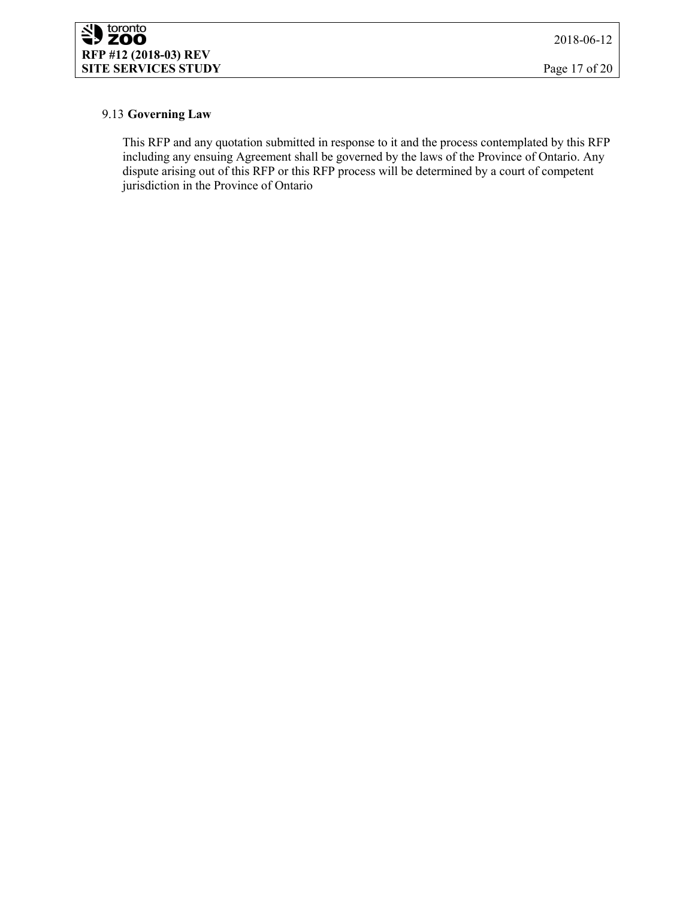### 9.13 **Governing Law**

This RFP and any quotation submitted in response to it and the process contemplated by this RFP including any ensuing Agreement shall be governed by the laws of the Province of Ontario. Any dispute arising out of this RFP or this RFP process will be determined by a court of competent jurisdiction in the Province of Ontario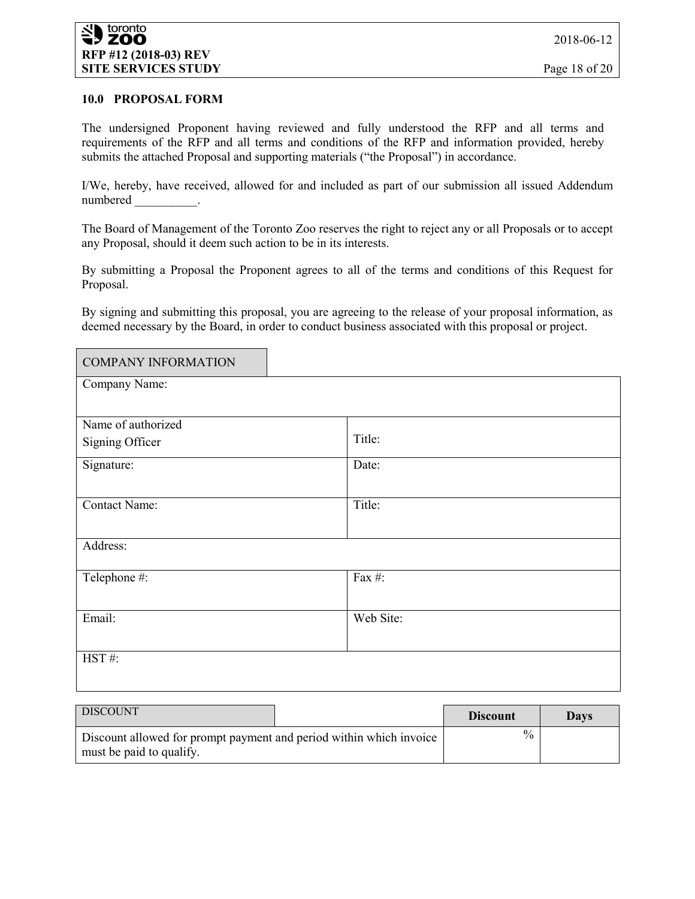### **10.0 PROPOSAL FORM**

The undersigned Proponent having reviewed and fully understood the RFP and all terms and requirements of the RFP and all terms and conditions of the RFP and information provided, hereby submits the attached Proposal and supporting materials ("the Proposal") in accordance.

I/We, hereby, have received, allowed for and included as part of our submission all issued Addendum numbered \_\_\_\_\_\_\_\_\_\_.

The Board of Management of the Toronto Zoo reserves the right to reject any or all Proposals or to accept any Proposal, should it deem such action to be in its interests.

By submitting a Proposal the Proponent agrees to all of the terms and conditions of this Request for Proposal.

By signing and submitting this proposal, you are agreeing to the release of your proposal information, as deemed necessary by the Board, in order to conduct business associated with this proposal or project.

| <b>COMPANY INFORMATION</b> |           |
|----------------------------|-----------|
| Company Name:              |           |
|                            |           |
| Name of authorized         |           |
| Signing Officer            | Title:    |
| Signature:                 | Date:     |
|                            |           |
| Contact Name:              | Title:    |
|                            |           |
| Address:                   |           |
| Telephone #:               | Fax #:    |
|                            |           |
| Email:                     | Web Site: |
|                            |           |
| HST#:                      |           |
|                            |           |

| <b>DISCOUNT</b>                                                                                 |  | <b>Discount</b> | <b>Days</b> |
|-------------------------------------------------------------------------------------------------|--|-----------------|-------------|
| Discount allowed for prompt payment and period within which invoice<br>must be paid to qualify. |  | $\%$            |             |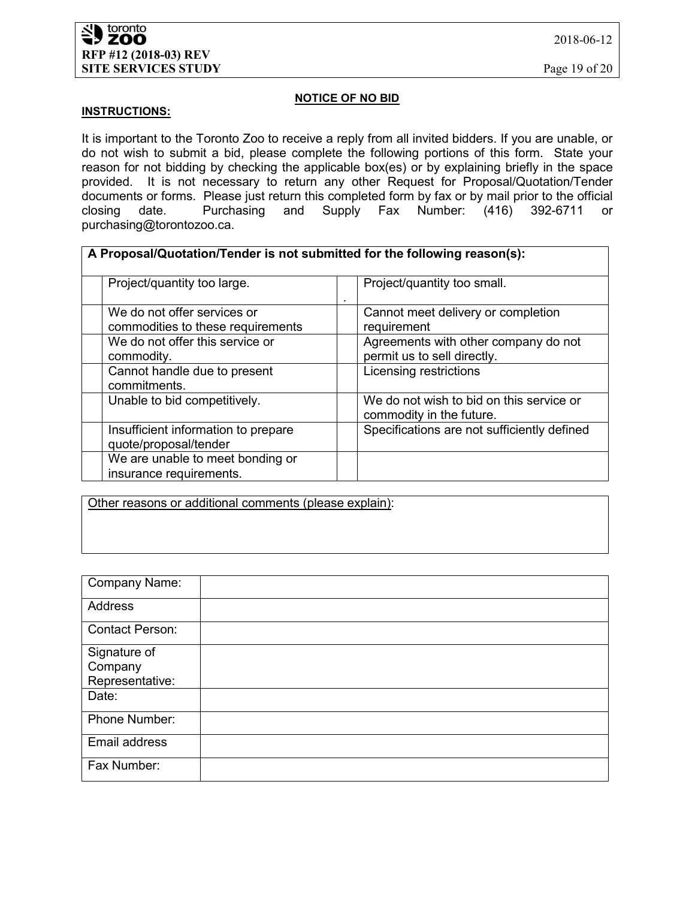2018-06-12

### **NOTICE OF NO BID**

### **INSTRUCTIONS:**

It is important to the Toronto Zoo to receive a reply from all invited bidders. If you are unable, or do not wish to submit a bid, please complete the following portions of this form. State your reason for not bidding by checking the applicable box(es) or by explaining briefly in the space provided. It is not necessary to return any other Request for Proposal/Quotation/Tender documents or forms. Please just return this completed form by fax or by mail prior to the official closing date. Purchasing and Supply Fax Number: (416) 392-6711 or closing date. Purchasing and Supply Fax Number: (416) 392-6711 or purchasing@torontozoo.ca.

| A Proposal/Quotation/Tender is not submitted for the following reason(s): |                                                                      |  |  |
|---------------------------------------------------------------------------|----------------------------------------------------------------------|--|--|
| Project/quantity too large.                                               | Project/quantity too small.                                          |  |  |
| We do not offer services or<br>commodities to these requirements          | Cannot meet delivery or completion<br>requirement                    |  |  |
| We do not offer this service or<br>commodity.                             | Agreements with other company do not<br>permit us to sell directly.  |  |  |
| Cannot handle due to present<br>commitments.                              | Licensing restrictions                                               |  |  |
| Unable to bid competitively.                                              | We do not wish to bid on this service or<br>commodity in the future. |  |  |
| Insufficient information to prepare<br>quote/proposal/tender              | Specifications are not sufficiently defined                          |  |  |
| We are unable to meet bonding or<br>insurance requirements.               |                                                                      |  |  |

Other reasons or additional comments (please explain):

| Company Name:          |  |
|------------------------|--|
|                        |  |
| Address                |  |
|                        |  |
| <b>Contact Person:</b> |  |
|                        |  |
| Signature of           |  |
|                        |  |
| Company                |  |
| Representative:        |  |
| Date:                  |  |
|                        |  |
| Phone Number:          |  |
|                        |  |
| Email address          |  |
|                        |  |
| Fax Number:            |  |
|                        |  |
|                        |  |